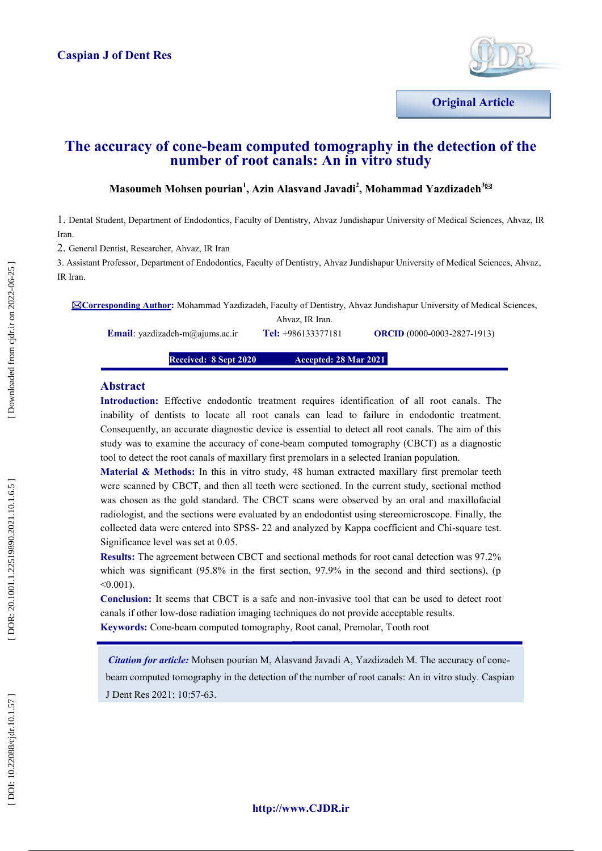

**Original Article**

# **The accuracy of cone -beam computed tomography in the detection of the number of root canals: An in vitro study**

# $M$ asoumeh Mohsen pourian<sup>1</sup>, Azin Alasvand Javadi<sup>2</sup>, Mohammad Yazdizadeh $^{3\boxtimes}$

1 . Dental Student, Department of Endodontics, Faculty of Dentistry, Ahvaz Jundishapur University of Medical Sciences, Ahvaz, IR Iran.

2. General Dentist, Researcher, Ahvaz, IR Iran

**Email** : yazdizadeh

3. Assistant Professor, Department of Endodontics, Faculty of Dentistry, Ahvaz Jundishapur University of Medical Sciences, Ahvaz, IR Iran.

**Corresponding Author :** Mohammad Yazdizadeh, Faculty of Dentistry, Ahvaz Jundishapur University of Medical Sciences,

Ahvaz, IR Iran. Tel: +986133377181

-0003 -2827 -1913)

**Received: 8 Sep t 2020 •• Accepted: 28 Mar 2021** 

#### **Abstract**

**Introduction:** Effective endodontic treatment requires identification of all root canals . The inability of dentists to locate all root canals can lead to failure in endodontic treatment. Consequently, an accurate diagnostic device is essential to detect all root canals. The aim of this study was to examine the accuracy of cone -beam computed tomography (CBCT) as a diagnostic tool to detect the root canals of maxillary first premolars in a selected Iranian population.

**Material & Methods:** In this in vitro study, 48 human extracted maxillary first premolar teeth were scanned by CBCT, and then all teeth were sectioned. In the current study, sectional method was chosen as the gold standard. The CBCT scans were observed by an oral and maxillofacial radiologist, and the sections were evaluated by an endodontist using stereomicroscope. Finally, the collected data were entered into SPSS - 22 and analyzed by Kappa coefficient and Chi -square test. Significance level was set at 0.05.

**Results:** The agreement between CBCT and sectional methods for root canal detection was 97.2% which was significant (95.8% in the first section, 97.9% in the second and third sections), (p <0.001).

**Conclusion:** It seems that CBCT is a safe and non -invasive tool that can be used to detect root canals if other low -dose radiation imaging techniques do not provide acceptable results. **Keywords:** Cone -beam computed tomography, Root canal, Premolar, Tooth root

*Citation for article:* Mohsen pourian M, Alasvand Javadi A, Yazdizadeh M. The accuracy of cone beam computed tomography in the detection of the number of root canals: An in vitro study. Caspian J Dent Res 2021; 10 :57 - 63.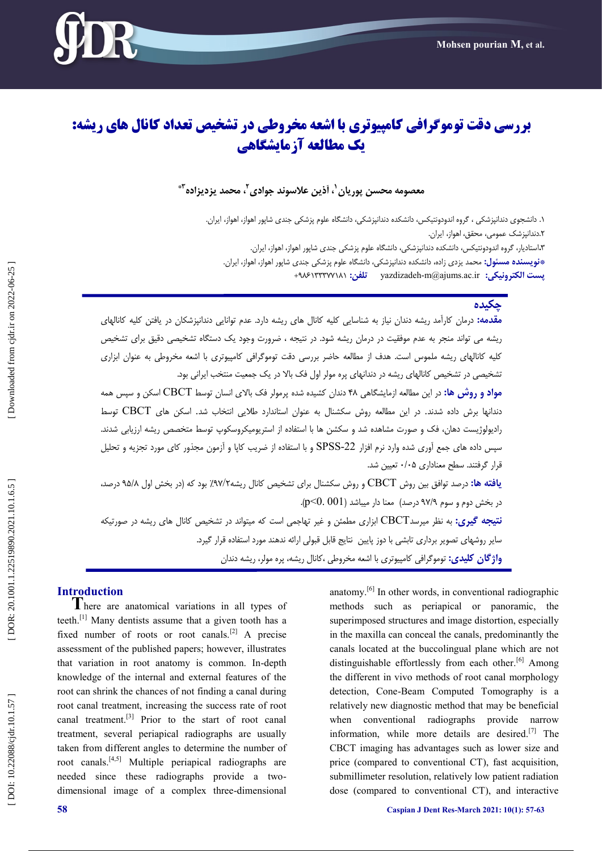

# **بررسی دقت توموگرافی کامپیوتری با اشعه مخروطی در تشخیص تعذاد کانال های ریشه: یک مطالعه آزمایشگاهی**

# معصومه محسن پوریان<sup>'</sup>، آذین علاسوند جوادی'<sup>،</sup> محمد یزدیزاده''\*

۱. دانشجوی دندانپزشکی ، گروه اندودونتیکس، دانشکده دندانپزشکی، دانشگاه علوم پزشکی جندی شاپور اهواز، اهواز، ایران. . ۲.دندانپزشک عمومی، محقق، اهواز، ایران. **۲.**استادیار، گروه اندودونتیکس، دانشکده دندانپزشکی، دانشگاه علوم پزشکی جندی شاپور اهواز، اهواز، ایران. . **پست الکتريویکی:** ir.ac.ajums@m-yazdizadeh **تلفه:** +986133377181 **\*وًیسىدٌ مسئًل:** محمذ یشدی ساد،ٌ داوطکذٌ دوذاوپشضکی، داوطگبٌ علًم پشضکی جىذی ضبپًر اًَاس، اًَاس، ایزان

# **چکیدٌ**

**مقدمه:** درمان کارامد ریشه دندان نیاز به شناسایی کلیه کانال های ریشه دارد. عدم توانایی دندانپزشکان در یافتن کلیه کانالهای ریشه می تواند منجر به عدم موفقیت در درمان ریشه شود. در نتیجه ، ضرورت وجود یک دستگاه تشخیصی دقیق برای تشخیص ، کلیه کانالهای ریشه ملموس است. هدف از مطالعه حاضر بررسی دقت توموگرافی کامپیوتری با اشعه مخروطی به عنوان ابزاری<br>تشخیصی در تشخیص کانالهای ریشه در دندانهای پره مولر اول فک بالا در یک جمعیت منتخب ایرانی بود.

<mark>مواد و روش ها:</mark> در اين مطالعه ازمايشگاهی ۴۸ دندان کشيده شده پرمولر فک بالای انسان توسط CBCT اسکن و سپس همه دندانها برش داده شدند. در این مطالعه روش سکشنال به عنوان استاندارد طلایی انتخاب شد. اسکن های CBCT توسط رادیولوژیست دهان، فک و صورت مشاهده شد و سکشن ها با استفاده از استریومیکروسکوپ توسط متخصص ریشه ارزیابی شدند. سپس داده های جمع آوری شده وارد نرم افزار SPSS-22 و با استفاده از ضریب کاپا و آزمون مجذور کای مورد تجزیه و تحلیل<br>قرار گرفتند. سطح معناداری ۰/۰۵ تعیین شد. **یافته ها:** درصد توافق بین روش CBCT و روش سکشنال برای تشخیص کانال ریشه۷/۲٪ بود که (در بخش اول ۹۵/۸ درصد، در بخش دوم و سوم ۹۷/۹ درصد) ً معنا دار میباشد (p<0. 001). **نتیجه گیری:** به نظر میرسدCBCT ابزاری مطمئن و غیر تهاجمی است که میتواند در تشخیص کانال های ریشه در صورتیکه سایر روشهای تصویر برداری تابشی با دوز پایین ِ نتایج قابل قبولی ارائه ندهند مورد استفاده قرار گیرد. <mark>واژگان كلیدی:</mark> توموگرافی كامپیوتری با اشعه مخروطی ،كانال ریشه، پره مولر، ریشه دندان

**Introduction**<br> **T**here are anatomical variations in all types of teeth.<sup>[1]</sup> Many dentists assume that a given tooth has a fixed number of roots or root canals.<sup>[2]</sup> A precise assessment of the published papers; however, illustrates that variation in root anatomy is common. In -depth knowledge of the internal and external features of the root can shrink the chances of not finding a canal during root canal treatment, increasing the success rate of root canal treatment.[3] Prior to the start of root canal treatment, several periapical radiographs are usually taken from different angles to determine the number of root canals.<sup>[4,5]</sup> Multiple periapical radiographs are needed since these radiographs provide a two dimensional image of a complex three -dimensional

anatomy.[6] In other words, in conventional radiographic methods such as periapical or panoramic, the superimposed structures and image distortion, especially in the maxilla can conceal the canals, predominantly the canals located at the buccolingual plane which are not distinguishable effortlessly from each other.<sup>[6]</sup> Among the different in vivo methods of root canal morphology detection, Cone -Beam Computed Tomography is a relatively new diagnostic method that may be beneficial when conventional radiographs provide narrow information, while more details are desired.<sup>[7]</sup> The CBCT imaging has advantages such as lower size and price (compared to conventional CT), fast acquisition, submillimeter resolution, relatively low patient radiation dose (compared to conventional CT), and interactive

DOI: 10.22088/cjdr.10.1.57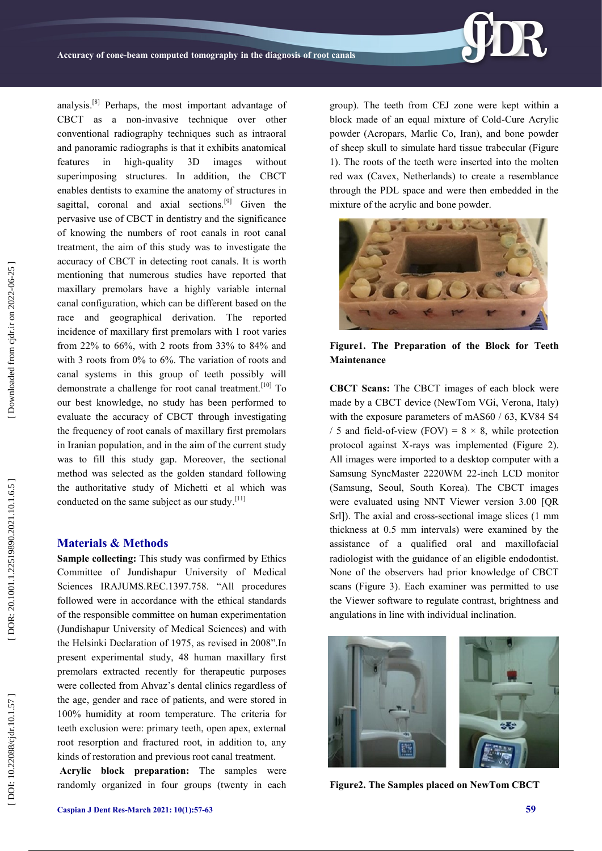

analysis.[8] Perhaps, the most important advantage of CBCT as a non -invasive technique over other conventional radiography techniques such as intraoral and panoramic radiographs is that it exhibits anatomical features in high-quality 3D images without superimposing structures. In addition, the CBCT enables dentists to examine the anatomy of structures in sagittal, coronal and axial sections.<sup>[9]</sup> Given the pervasive use of CBCT in dentistry and the significance of knowing the numbers of root canals in root canal treatment, the aim of this study was to investigate the accuracy of CBCT in detecting root canals. It is worth mentioning that numerous studies have reported that maxillary premolars have a highly variable internal canal configuration, which can be different based on the race and geographical derivation. The reported incidence of maxillary first premolars with 1 root varies from 22% to 66%, with 2 roots from 33% to 84% and with 3 roots from 0% to 6%. The variation of roots and canal systems in this group of teeth possibly will demonstrate a challenge for root canal treatment.<sup>[10]</sup> To our best knowledge, no study has been performed to evaluate the accuracy of CBCT through investigating the frequency of root canals of maxillary first premolars in Iranian population, and in the aim of the current study was to fill this study gap. Moreover, the sectional method was selected as the golden standard following the authoritative study of Michetti et al which was conducted on the same subject as our study. $[11]$ 

#### **Materials & Methods**

**Sample collecting:** This study was confirmed by Ethics Committee of Jundishapur University of Medical Sciences IRAJUMS.REC.1397.758. "All procedures followed were in accordance with the ethical standards of the responsible committee on human experimentation (Jundishapur University of Medical Sciences) and with the Helsinki Declaration of 1975, as revised in 2008".In present experimental study, 48 human maxillary first premolars extracted recently for therapeutic purposes were collected from Ahvaz's dental clinics regardless of the age, gender and race of patients, and were stored in 100% humidity at room temperature. The criteria for teeth exclusion were: primary teeth, open apex, external root resorption and fractured root, in addition to, any kinds of restoration and previous root canal treatment.

**Acrylic block preparation:** The samples were randomly organized in four groups (twenty in each

group). The teeth from CEJ zone were kept within a block made of an equal mixture of Cold -Cure Acrylic powder (Acropars, Marlic Co, Iran), and bone powder of sheep skull to simulate hard tissue trabecular (Figure 1). The roots of the teeth were inserted into the molten red wax (Cavex, Netherlands) to create a resemblance through the PDL space and were then embedded in the mixture of the acrylic and bone powder.



**Figure1. The Preparation of the Block for Teeth Maintenance**

**CBCT Scans:** The CBCT images of each block were made by a CBCT device (NewTom VGi, Verona, Italy) with the exposure parameters of mAS60 / 63, KV84 S4 / 5 and field-of-view (FOV) =  $8 \times 8$ , while protection protocol against X -rays was implemented (Figure 2). All images were imported to a desktop computer with a Samsung SyncMaster 2220WM 22 -inch LCD monitor (Samsung, Seoul, South Korea). The CBCT images were evaluated using NNT Viewer version 3.00 [QR Srl]). The axial and cross -sectional image slices (1 mm thickness at 0.5 mm intervals) were examined by the assistance of a qualified oral and maxillofacial radiologist with the guidance of an eligible endodontist. None of the observers had prior knowledge of CBCT scans (Figure 3). Each examiner was permitted to use the Viewer software to regulate contrast, brightness and angulations in line with individual inclination.



**Figure2. The Samples placed on NewTom CBCT**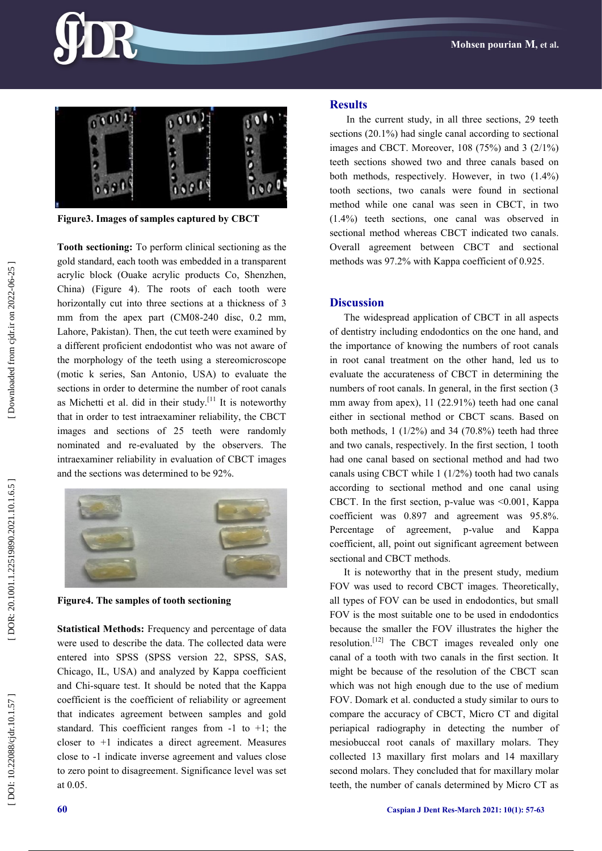



**Figure3. Images of samples captured by CBCT**

**Tooth sectioning:** To perform clinical sectioning as the gold standard, each tooth was embedded in a transparent acrylic block (Ouake acrylic products Co, Shenzhen, China) (Figure 4). The roots of each tooth were horizontally cut into three sections at a thickness of 3 mm from the apex part (CM08-240 disc, 0.2 mm, Lahore, Pakistan). Then, the cut teeth were examined by a different proficient endodontist who was not aware of the morphology of the teeth using a stereomicroscope (motic k series, San Antonio, USA) to evaluate the sections in order to determine the number of root canals as Michetti et al. did in their study.<sup>[11</sup>] It is noteworthy that in order to test intraexaminer reliability, the CBCT images and sections of 25 teeth were randomly nominated and re -evaluated by the observers. The intraexaminer reliability in evaluation of CBCT images and the sections was determined to be 92%.



**Figure4. The samples of tooth sectioning**

**Statistical Methods:** Frequency and percentage of data were used to describe the data. The collected data were entered into SPSS (SPSS version 22, SPSS, SAS, Chicago, IL, USA) and analyzed by Kappa coefficient and Chi -square test. It should be noted that the Kappa coefficient is the coefficient of reliability or agreement that indicates agreement between samples and gold standard. This coefficient ranges from  $-1$  to  $+1$ ; the closer to +1 indicates a direct agreement. Measures close to -1 indicate inverse agreement and values close to zero point to disagreement. Significance level was set at 0.05.

### **Results**

In the current study, in all three sections, 29 teeth sections (20.1%) had single canal according to sectional images and CBCT. Moreover,  $108$  (75%) and  $3$  (2/1%) teeth sections showed two and three canals based on both methods, respectively. However, in two (1.4%) tooth sections, two canals were found in sectional method while one canal was seen in CBCT, in two (1.4%) teeth sections, one canal was observed in sectional method whereas CBCT indicated two canals. Overall agreement between CBCT and sectional methods was 97.2% with Kappa coefficient of 0.925.

### **Discussion**

The widespread application of CBCT in all aspects of dentistry including endodontics on the one hand, and the importance of knowing the numbers of root canals in root canal treatment on the other hand, led us to evaluate the accurateness of CBCT in determining the numbers of root canals. In general, in the first section  $(3)$ mm away from apex), 11 (22.91%) teeth had one canal either in sectional method or CBCT scans. Based on both methods,  $1(1/2%)$  and 34 (70.8%) teeth had three and two canals, respectively. In the first section, 1 tooth had one canal based on sectional method and had two canals using CBCT while 1 (1/2%) tooth had two canals according to sectional method and one canal using CBCT. In the first section, p -value was <0.001, Kappa coefficient was 0.897 and agreement was 95.8%. Percentage of agreement, p-value and Kappa coefficient, all, point out significant agreement between sectional and CBCT methods.

It is noteworthy that in the present study, medium FOV was used to record CBCT images. Theoretically, all types of FOV can be used in endodontics, but small FOV is the most suitable one to be used in endodontics because the smaller the FOV illustrates the higher the resolution.<sup>[12]</sup> The CBCT images revealed only one canal of a tooth with two canals in the first section. It might be because of the resolution of the CBCT scan which was not high enough due to the use of medium FOV. Domark et al. conducted a study similar to ours to compare the accuracy of CBCT, Micro CT and digital periapical radiography in detecting the number of mesiobuccal root canals of maxillary molars. They collected 13 maxillary first molars and 14 maxillary second molars. They concluded that for maxillary molar teeth, the number of canals determined by Micro CT as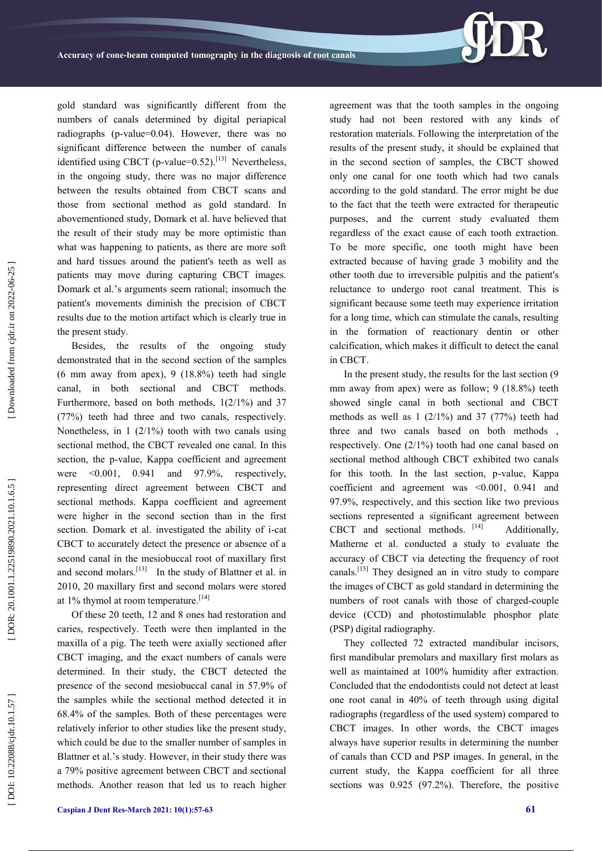

gold standard was significantly different from the numbers of canals determined by digital periapical radiographs (p -value=0.04). However, there was no significant difference between the number of canals identified using CBCT (p-value= $0.52$ ).<sup>[13]</sup> Nevertheless, in the ongoing study, there was no major difference between the results obtained from CBCT scans and those from sectional method as gold standard. In abovementioned study, Domark et al. have believed that the result of their study may be more optimistic than what was happening to patients, as there are more soft and hard tissues around the patient's teeth as well as patients may move during capturing CBCT images. Domark et al.'s arguments seem rational; insomuch the patient's movements diminish the precision of CBCT results due to the motion artifact which is clearly true in the present study.

Besides, the results of the ongoing study demonstrated that in the second section of the samples (6 mm away from apex), 9 (18.8%) teeth had single canal, in both sectional and CBCT methods. Furthermore, based on both methods, 1(2/1%) and 37 (77%) teeth had three and two canals, respectively. Nonetheless, in 1 (2/1%) tooth with two canals using sectional method, the CBCT revealed one canal. In this section, the p -value, Kappa coefficient and agreement were  $\leq 0.001$ , 0.941 and 97.9%, respectively, representing direct agreement between CBCT and sectional methods. Kappa coefficient and agreement were higher in the second section than in the first section. Domark et al. investigated the ability of i-cat CBCT to accurately detect the presence or absence of a second canal in the mesiobuccal root of maxillary first and second molars.<sup>[13]</sup> In the study of Blattner et al. in 2010, 20 maxillary first and second molars were stored at 1% thymol at room temperature.<sup>[14]</sup>

Of these 20 teeth, 12 and 8 ones had restoration and caries, respectively. Teeth were then implanted in the maxilla of a pig. The teeth were axially sectioned after CBCT imaging, and the exact numbers of canals were determined. In their study, the CBCT detected the presence of the second mesiobuccal canal in 57.9% of the samples while the sectional method detected it in 68.4% of the samples. Both of these percentages were relatively inferior to other studies like the present study, which could be due to the smaller number of samples in Blattner et al.'s study. However, in their study there was a 79% positive agreement between CBCT and sectional methods. Another reason that led us to reach higher

agreement was that the tooth samples in the ongoing study had not been restored with any kinds of restoration materials. Following the interpretation of the results of the present study, it should be explained that in the second section of samples, the CBCT showed only one canal for one tooth which had two canals according to the gold standard. The error might be due to the fact that the teeth were extracted for therapeutic purposes, and the current study evaluated them regardless of the exact cause of each tooth extraction. To be more specific, one tooth might have been extracted because of having grade 3 mobility and the other tooth due to irreversible pulpitis and the patient's reluctance to undergo root canal treatment. This is significant because some teeth may experience irritation for a long time, which can stimulate the canals, resulting in the formation of reactionary dentin or other calcification, which makes it difficult to detect the canal in CBCT.

In the present study, the results for the last section (9 mm away from apex) were as follow; 9 (18.8%) teeth showed single canal in both sectional and CBCT methods as well as  $1 \frac{2}{1\%}$  and  $37 \frac{77\%}{1000}$  teeth had three and two canals based on both methods , respectively. One (2/1%) tooth had one canal based on sectional method although CBCT exhibited two canals for this tooth. In the last section, p -value, Kappa coefficient and agreement was <0.001, 0.941 and 97.9%, respectively, and this section like two previous sections represented a significant agreement between CBCT and sectional methods. [14] Additionally, Matherne et al. conducted a study to evaluate the accuracy of CBCT via detecting the frequency of root canals.[15] They designed an in vitro study to compare the images of CBCT as gold standard in determining the numbers of root canals with those of charged -couple device (CCD) and photostimulable phosphor plate (PSP) digital radiography.

They collected 72 extracted mandibular incisors, first mandibular premolars and maxillary first molars as well as maintained at 100% humidity after extraction. Concluded that the endodontists could not detect at least one root canal in 40% of teeth through using digital radiographs (regardless of the used system) compared to CBCT images. In other words, the CBCT images always have superior results in determining the number of canals than CCD and PSP images. In general, in the current study, the Kappa coefficient for all three sections was 0.925 (97.2%). Therefore, the positive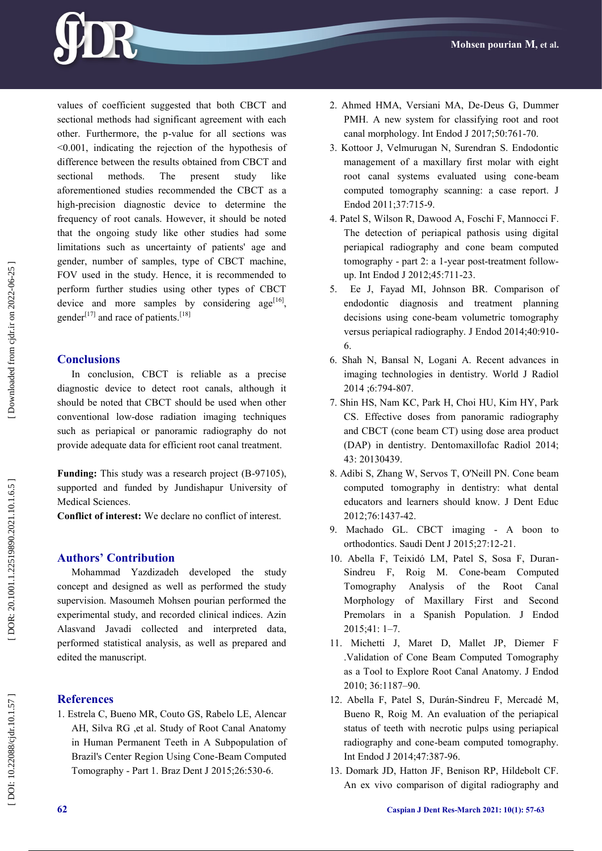

values of coefficient suggested that both CBCT and sectional methods had significant agreement with each other. Furthermore, the p -value for all sections was <0.001, indicating the rejection of the hypothesis of difference between the results obtained from CBCT and sectional methods. The present study like aforementioned studies recommended the CBCT as a high -precision diagnostic device to determine the frequency of root canals. However, it should be noted that the ongoing study like other studies had some limitations such as uncertainty of patients' age and gender, number of samples, type of CBCT machine, FOV used in the study. Hence, it is recommended to perform further studies using other types of CBCT device and more samples by considering age<sup>[16]</sup>, gender<sup>[17]</sup> and race of patients.<sup>[18]</sup>

## **Conclusions**

In conclusion, CBCT is reliable as a precise diagnostic device to detect root canals, although it should be noted that CBCT should be used when other conventional low -dose radiation imaging techniques such as periapical or panoramic radiography do not provide adequate data for efficient root canal treatment.

Funding: This study was a research project (B-97105), supported and funded by Jundishapur University of Medical Sciences.

**Conflict of interest:** We declare no conflict of interest.

# **Authors' Contribution**

Mohammad Yazdizadeh developed the study concept and designed as well as performed the study supervision. Masoumeh Mohsen pourian performed the experimental study, and recorded clinical indices. Azin Alasvand Javadi collected and interpreted data, performed statistical analysis, as well as prepared and edited the manuscript.

# **References**

1. Estrela C, Bueno MR, Couto GS, Rabelo LE, Alencar AH, Silva RG ,et al. Study of Root Canal Anatomy in Human Permanent Teeth in A Subpopulation of Brazil's Center Region Using Cone -Beam Computed Tomography - Part 1. Braz Dent J 2015;26:530 -6.

- 2. Ahmed HMA, Versiani MA, De -Deus G, Dummer PMH. A new system for classifying root and root canal morphology. Int Endod J 2017;50:761 -70 .
- 3. Kottoor J, Velmurugan N, Surendran S. Endodontic management of a maxillary first molar with eight root canal systems evaluated using cone -beam computed tomography scanning: a case report. J Endod 2011;37:715-9.
- 4. Patel S, Wilson R, Dawood A, Foschi F, Mannocci F. The detection of periapical pathosis using digital periapical radiography and cone beam computed tomography - part 2: a 1-year post-treatment followup. Int Endod J 2012;45:711 -23.
- 5. Ee J, Fayad MI, Johnson BR. Comparison of endodontic diagnosis and treatment planning decisions using cone -beam volumetric tomography versus periapical radiography. J Endod 2014;40:910 - 6.
- 6. Shah N, Bansal N, Logani A. Recent advances in imaging technologies in dentistry. World J Radiol 2014 ;6:794 -807 .
- 7. Shin HS, Nam KC, Park H, Choi HU, Kim HY, Park CS . Effective doses from panoramic radiography and CBCT (cone beam CT) using dose area product (DAP) in dentistry. Dentomaxillofac Radiol 2014; 43: 20130439.
- 8. Adibi S, Zhang W, Servos T, O'Neill PN. Cone beam computed tomography in dentistry: what dental educators and learners should know. J Dent Educ 2012;76:1437 -42.
- 9. Machado GL. CBCT imaging A boon to orthodontics. Saudi Dent J 2015;27:12 -21.
- 10. Abella F, Teixidó LM, Patel S, Sosa F, Duran Sindreu F, Roig M. Cone -beam Computed Tomography Analysis of the Root Canal Morphology of Maxillary First and Second Premolars in a Spanish Population. J Endod 2015;41: 1 – 7 .
- 11. Michetti J, Maret D, Mallet JP, Diemer F .Validation of Cone Beam Computed Tomography as a Tool to Explore Root Canal Anatomy. J Endod 2010; 36:1187 –90 .
- 12. Abella F, Patel S, Durán -Sindreu F, Mercadé M, Bueno R, Roig M. An evaluation of the periapical status of teeth with necrotic pulps using periapical radiography and cone -beam computed tomography. Int Endod J 2014;47:387 -96.
- 13. Domark JD, Hatton JF, Benison RP, Hildebolt CF. An ex vivo comparison of digital radiography and